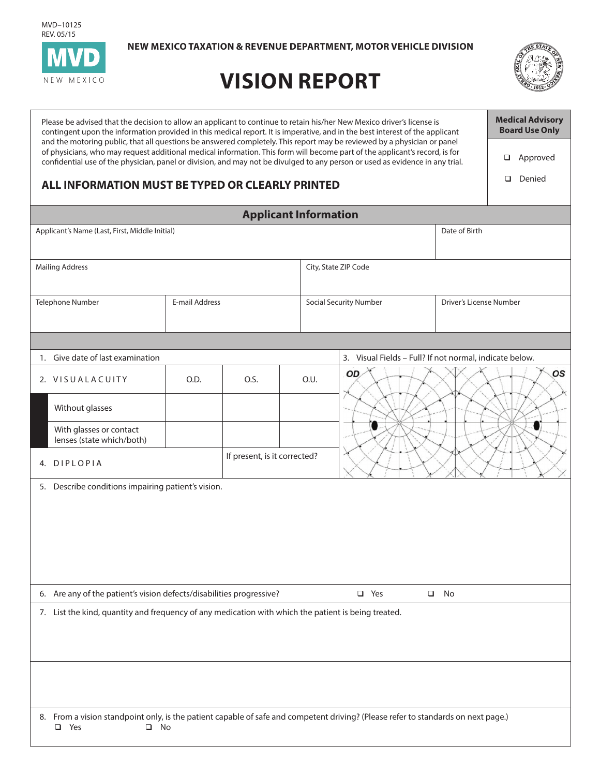MVD–10125 REV. 05/15



**NEW MEXICO TAXATION & REVENUE DEPARTMENT, MOTOR VEHICLE DIVISION**

## **VISION REPORT**



| Please be advised that the decision to allow an applicant to continue to retain his/her New Mexico driver's license is<br>contingent upon the information provided in this medical report. It is imperative, and in the best interest of the applicant                                                                                                                                  | <b>Medical Advisory</b><br><b>Board Use Only</b> |      |      |                                                         |                         |                    |  |
|-----------------------------------------------------------------------------------------------------------------------------------------------------------------------------------------------------------------------------------------------------------------------------------------------------------------------------------------------------------------------------------------|--------------------------------------------------|------|------|---------------------------------------------------------|-------------------------|--------------------|--|
| and the motoring public, that all questions be answered completely. This report may be reviewed by a physician or panel<br>of physicians, who may request additional medical information. This form will become part of the applicant's record, is for<br>confidential use of the physician, panel or division, and may not be divulged to any person or used as evidence in any trial. |                                                  |      |      |                                                         |                         | Approved<br>$\Box$ |  |
| ALL INFORMATION MUST BE TYPED OR CLEARLY PRINTED                                                                                                                                                                                                                                                                                                                                        |                                                  |      |      |                                                         |                         | Denied<br>□        |  |
| <b>Applicant Information</b>                                                                                                                                                                                                                                                                                                                                                            |                                                  |      |      |                                                         |                         |                    |  |
| Applicant's Name (Last, First, Middle Initial)                                                                                                                                                                                                                                                                                                                                          |                                                  |      |      | Date of Birth                                           |                         |                    |  |
| <b>Mailing Address</b>                                                                                                                                                                                                                                                                                                                                                                  |                                                  |      |      | City, State ZIP Code                                    |                         |                    |  |
| Telephone Number                                                                                                                                                                                                                                                                                                                                                                        | <b>E-mail Address</b>                            |      |      | <b>Social Security Number</b>                           | Driver's License Number |                    |  |
|                                                                                                                                                                                                                                                                                                                                                                                         |                                                  |      |      |                                                         |                         |                    |  |
| 1. Give date of last examination                                                                                                                                                                                                                                                                                                                                                        |                                                  |      |      | 3. Visual Fields - Full? If not normal, indicate below. |                         |                    |  |
| 2. VISUALACUITY                                                                                                                                                                                                                                                                                                                                                                         | O.D.                                             | O.S. | O.U. | os<br>OD.                                               |                         |                    |  |
| Without glasses                                                                                                                                                                                                                                                                                                                                                                         |                                                  |      |      |                                                         |                         |                    |  |
| With glasses or contact<br>lenses (state which/both)                                                                                                                                                                                                                                                                                                                                    |                                                  |      |      |                                                         |                         |                    |  |
| 4. DIPLOPIA                                                                                                                                                                                                                                                                                                                                                                             | If present, is it corrected?                     |      |      |                                                         |                         |                    |  |
| 5. Describe conditions impairing patient's vision.                                                                                                                                                                                                                                                                                                                                      |                                                  |      |      |                                                         |                         |                    |  |
| 6. Are any of the patient's vision defects/disabilities progressive?                                                                                                                                                                                                                                                                                                                    |                                                  |      |      | □ Yes<br>$\Box$                                         | No                      |                    |  |
| 7. List the kind, quantity and frequency of any medication with which the patient is being treated.                                                                                                                                                                                                                                                                                     |                                                  |      |      |                                                         |                         |                    |  |
|                                                                                                                                                                                                                                                                                                                                                                                         |                                                  |      |      |                                                         |                         |                    |  |
| 8. From a vision standpoint only, is the patient capable of safe and competent driving? (Please refer to standards on next page.)<br>Yes<br>$\square$ No<br>$\Box$                                                                                                                                                                                                                      |                                                  |      |      |                                                         |                         |                    |  |